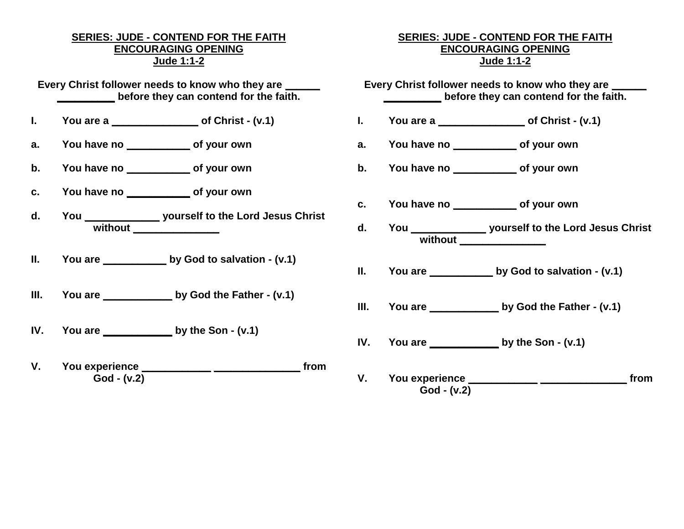## **SERIES: JUDE - CONTEND FOR THE FAITH ENCOURAGING OPENING Jude 1:1-2**

**Every Christ follower needs to know who they are \_\_\_\_\_\_ \_\_\_\_\_\_\_\_\_\_ before they can contend for the faith.**

- **I. You are a \_\_\_\_\_\_\_\_\_\_\_\_\_\_\_ of Christ - (v.1)**
- **a. You have no \_\_\_\_\_\_\_\_\_\_\_ of your own**
- **b. You have no \_\_\_\_\_\_\_\_\_\_\_ of your own**
- **c. You have no \_\_\_\_\_\_\_\_\_\_\_ of your own**
- **d. You \_\_\_\_\_\_\_\_\_\_\_\_\_ yourself to the Lord Jesus Christ without \_\_\_\_\_\_\_\_\_\_\_\_\_\_\_**
- **II. You are \_\_\_\_\_\_\_\_\_\_\_ by God to salvation - (v.1)**
- **III. You are \_\_\_\_\_\_\_\_\_\_\_\_ by God the Father - (v.1)**
- **IV. You are \_\_\_\_\_\_\_\_\_\_\_\_ by the Son - (v.1)**
- **V. You experience \_\_\_\_\_\_\_\_\_\_\_\_ \_\_\_\_\_\_\_\_\_\_\_\_\_\_\_ from God - (v.2)**

## **SERIES: JUDE - CONTEND FOR THE FAITH ENCOURAGING OPENING Jude 1:1-2**

Every Christ follower needs to know who they are **\_\_\_\_\_\_\_\_\_\_ before they can contend for the faith.**

- **I. You are a \_\_\_\_\_\_\_\_\_\_\_\_\_\_\_ of Christ - (v.1)**
- **a. You have no \_\_\_\_\_\_\_\_\_\_\_ of your own**
- **b. You have no \_\_\_\_\_\_\_\_\_\_\_ of your own**
- **c. You have no \_\_\_\_\_\_\_\_\_\_\_ of your own**
- **d. You \_\_\_\_\_\_\_\_\_\_\_\_\_ yourself to the Lord Jesus Christ without \_\_\_\_\_\_\_\_\_\_\_\_\_\_\_**
- **II. You are \_\_\_\_\_\_\_\_\_\_\_ by God to salvation - (v.1)**
- **III. You are \_\_\_\_\_\_\_\_\_\_\_\_ by God the Father - (v.1)**
- **IV. You are \_\_\_\_\_\_\_\_\_\_\_\_ by the Son - (v.1)**
- **V. You experience \_\_\_\_\_\_\_\_\_\_\_\_ \_\_\_\_\_\_\_\_\_\_\_\_\_\_\_ from God - (v.2)**